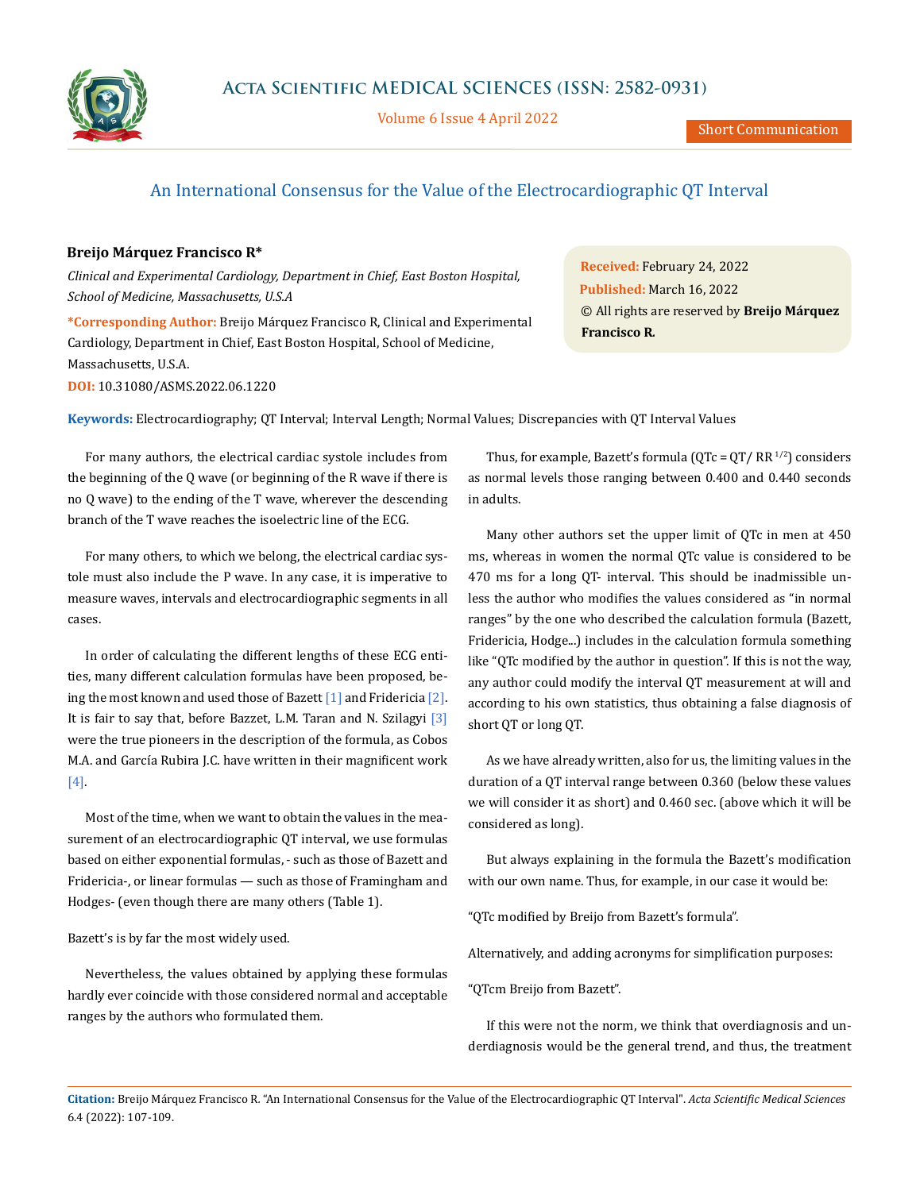

Volume 6 Issue 4 April 2022

# An International Consensus for the Value of the Electrocardiographic QT Interval

## **Breijo Márquez Francisco R\***

*Clinical and Experimental Cardiology, Department in Chief, East Boston Hospital, School of Medicine, Massachusetts, U.S.A*

**\*Corresponding Author:** Breijo Márquez Francisco R, Clinical and Experimental Cardiology, Department in Chief, East Boston Hospital, School of Medicine, Massachusetts, U.S.A. **DOI:** [10.31080/ASMS.2022.06.122](http://actascientific.com/ASMS/pdf/ASMS-06-1220.pdf)0

**Received:** February 24, 2022 **Published:** March 16, 2022 © All rights are reserved by **Breijo Márquez Francisco R***.*

**Keywords:** Electrocardiography; QT Interval; Interval Length; Normal Values; Discrepancies with QT Interval Values

For many authors, the electrical cardiac systole includes from the beginning of the Q wave (or beginning of the R wave if there is no Q wave) to the ending of the T wave, wherever the descending branch of the T wave reaches the isoelectric line of the ECG.

For many others, to which we belong, the electrical cardiac systole must also include the P wave. In any case, it is imperative to measure waves, intervals and electrocardiographic segments in all cases.

In order of calculating the different lengths of these ECG entities, many different calculation formulas have been proposed, being the most known and used those of Bazett  $[1]$  and Fridericia  $[2]$ . It is fair to say that, before Bazzet, L.M. Taran and N. Szilagyi [3] were the true pioneers in the description of the formula, as Cobos M.A. and García Rubira J.C. have written in their magnificent work [4].

Most of the time, when we want to obtain the values in the measurement of an electrocardiographic QT interval, we use formulas based on either exponential formulas, - such as those of Bazett and Fridericia-, or linear formulas — such as those of Framingham and Hodges- (even though there are many others (Table 1).

Bazett's is by far the most widely used.

Nevertheless, the values obtained by applying these formulas hardly ever coincide with those considered normal and acceptable ranges by the authors who formulated them.

Thus, for example, Bazett's formula ( $QTC = QT / RR^{1/2}$ ) considers as normal levels those ranging between 0.400 and 0.440 seconds in adults.

Many other authors set the upper limit of QTc in men at 450 ms, whereas in women the normal QTc value is considered to be 470 ms for a long QT- interval. This should be inadmissible unless the author who modifies the values considered as "in normal ranges" by the one who described the calculation formula (Bazett, Fridericia, Hodge...) includes in the calculation formula something like "QTc modified by the author in question". If this is not the way, any author could modify the interval QT measurement at will and according to his own statistics, thus obtaining a false diagnosis of short QT or long QT.

As we have already written, also for us, the limiting values in the duration of a QT interval range between 0.360 (below these values we will consider it as short) and 0.460 sec. (above which it will be considered as long).

But always explaining in the formula the Bazett's modification with our own name. Thus, for example, in our case it would be:

"QTc modified by Breijo from Bazett's formula".

Alternatively, and adding acronyms for simplification purposes:

"QTcm Breijo from Bazett".

If this were not the norm, we think that overdiagnosis and underdiagnosis would be the general trend, and thus, the treatment

**Citation:** Breijo Márquez Francisco R*.* "An International Consensus for the Value of the Electrocardiographic QT Interval". *Acta Scientific Medical Sciences*  6.4 (2022): 107-109.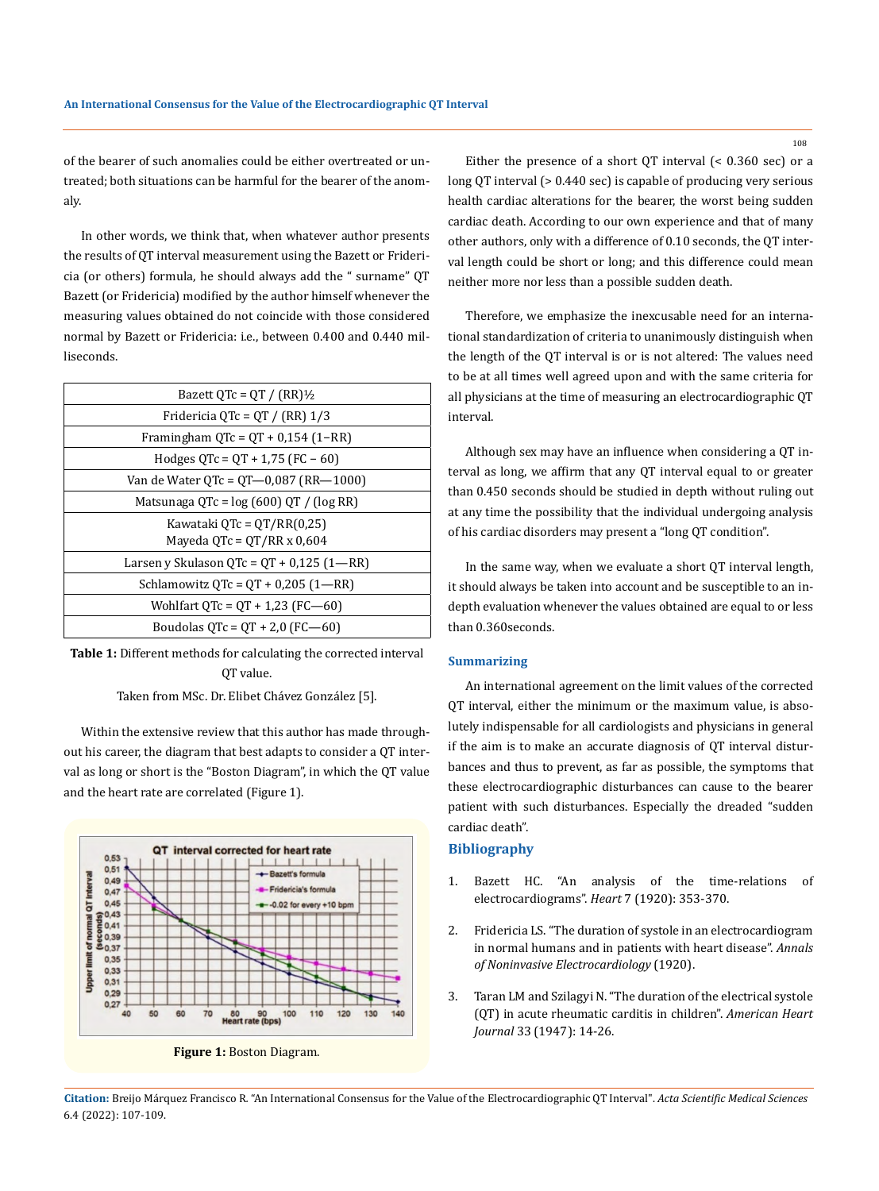of the bearer of such anomalies could be either overtreated or untreated; both situations can be harmful for the bearer of the anomaly.

In other words, we think that, when whatever author presents the results of QT interval measurement using the Bazett or Fridericia (or others) formula, he should always add the " surname" QT Bazett (or Fridericia) modified by the author himself whenever the measuring values obtained do not coincide with those considered normal by Bazett or Fridericia: i.e., between 0.400 and 0.440 milliseconds.

| Bazett OTc = OT / $(RR)$ <sup>1</sup> / <sub>2</sub> |
|------------------------------------------------------|
| Fridericia QTc = QT / (RR) $1/3$                     |
| Framingham $QTc = QT + 0.154(1 - RR)$                |
| Hodges $QTc = QT + 1.75$ (FC – 60)                   |
| Van de Water OTc = $0T-0.087$ (RR-1000)              |
| Matsunaga QTc = $log(600)$ QT / ( $log RR$ )         |
| Kawataki QTc = QT/RR(0,25)                           |
| Mayeda QTc = $QT/RR \times 0.604$                    |
| Larsen y Skulason OTc = $OT + 0.125$ (1—RR)          |
| Schlamowitz $QTc = QT + 0.205(1 - RR)$               |
| Wohlfart $QTc = QT + 1.23$ (FC-60)                   |
| Boudolas $QTc = QT + 2.0$ (FC-60)                    |

**Table 1:** Different methods for calculating the corrected interval QT value.

Taken from MSc. Dr. Elibet Chávez González [5].

Within the extensive review that this author has made throughout his career, the diagram that best adapts to consider a QT interval as long or short is the "Boston Diagram", in which the QT value and the heart rate are correlated (Figure 1).





Either the presence of a short QT interval (< 0.360 sec) or a long QT interval (> 0.440 sec) is capable of producing very serious health cardiac alterations for the bearer, the worst being sudden cardiac death. According to our own experience and that of many other authors, only with a difference of 0.10 seconds, the QT interval length could be short or long; and this difference could mean neither more nor less than a possible sudden death.

Therefore, we emphasize the inexcusable need for an international standardization of criteria to unanimously distinguish when the length of the QT interval is or is not altered: The values need to be at all times well agreed upon and with the same criteria for all physicians at the time of measuring an electrocardiographic QT interval.

Although sex may have an influence when considering a QT interval as long, we affirm that any QT interval equal to or greater than 0.450 seconds should be studied in depth without ruling out at any time the possibility that the individual undergoing analysis of his cardiac disorders may present a "long QT condition".

In the same way, when we evaluate a short QT interval length, it should always be taken into account and be susceptible to an indepth evaluation whenever the values obtained are equal to or less than 0.360seconds.

#### **Summarizing**

An international agreement on the limit values of the corrected QT interval, either the minimum or the maximum value, is absolutely indispensable for all cardiologists and physicians in general if the aim is to make an accurate diagnosis of QT interval disturbances and thus to prevent, as far as possible, the symptoms that these electrocardiographic disturbances can cause to the bearer patient with such disturbances. Especially the dreaded "sudden cardiac death".

### **Bibliography**

- 1. Bazett HC. "An analysis of the time-relations of electrocardiograms". *Heart* 7 (1920): 353-370.
- 2. Fridericia LS. "The duration of systole in an electrocardiogram in normal humans and in patients with heart disease". *Annals of Noninvasive Electrocardiology* (1920).
- 3. [Taran LM and Szilagyi N. "The duration of the electrical systole](https://pubmed.ncbi.nlm.nih.gov/20280672/) [\(QT\) in acute rheumatic carditis in children".](https://pubmed.ncbi.nlm.nih.gov/20280672/) *American Heart Journal* 33 (1947): 14-26.

**Citation:** Breijo Márquez Francisco R*.* "An International Consensus for the Value of the Electrocardiographic QT Interval". *Acta Scientific Medical Sciences*  6.4 (2022): 107-109.

108